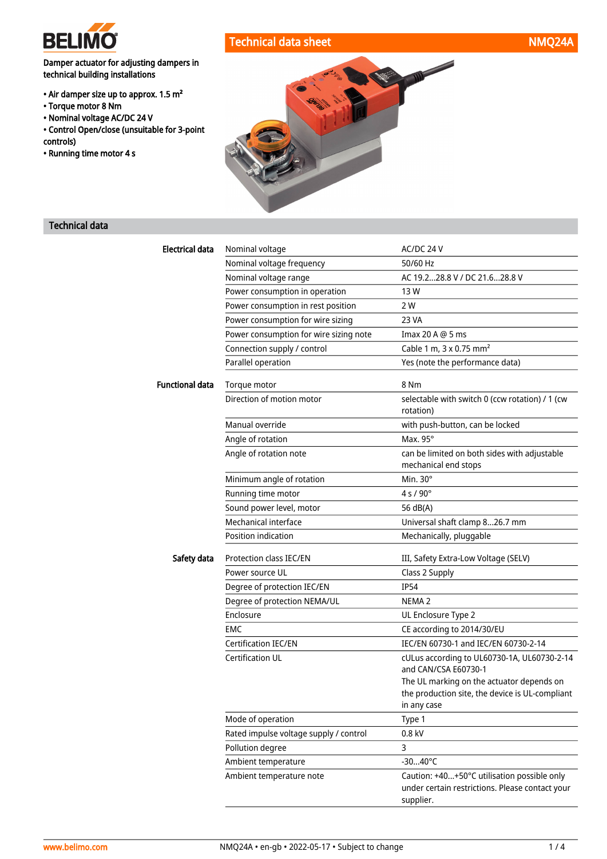

# Technical data sheet NMQ24A

Damper actuator for adjusting dampers in technical building installations

- Air damper size up to approx. 1.5 m²
- Torque motor 8 Nm
- Nominal voltage AC/DC 24 V
- Control Open/close (unsuitable for 3-point controls)
- Running time motor 4 s



# Technical data

| Electrical data        | Nominal voltage                        | AC/DC 24 V                                                           |
|------------------------|----------------------------------------|----------------------------------------------------------------------|
|                        | Nominal voltage frequency              | 50/60 Hz                                                             |
|                        | Nominal voltage range                  | AC 19.228.8 V / DC 21.628.8 V                                        |
|                        | Power consumption in operation         | 13 W                                                                 |
|                        | Power consumption in rest position     | 2 W                                                                  |
|                        | Power consumption for wire sizing      | 23 VA                                                                |
|                        | Power consumption for wire sizing note | Imax 20 A @ 5 ms                                                     |
|                        | Connection supply / control            | Cable 1 m, 3 x 0.75 mm <sup>2</sup>                                  |
|                        | Parallel operation                     | Yes (note the performance data)                                      |
| <b>Functional data</b> | Torque motor                           | 8 Nm                                                                 |
|                        | Direction of motion motor              | selectable with switch 0 (ccw rotation) / 1 (cw<br>rotation)         |
|                        | Manual override                        | with push-button, can be locked                                      |
|                        | Angle of rotation                      | Max. 95°                                                             |
|                        | Angle of rotation note                 | can be limited on both sides with adjustable<br>mechanical end stops |
|                        | Minimum angle of rotation              | Min. $30^\circ$                                                      |
|                        | Running time motor                     | $4 s / 90^{\circ}$                                                   |
|                        | Sound power level, motor               | 56 dB(A)                                                             |
|                        | Mechanical interface                   | Universal shaft clamp 826.7 mm                                       |
|                        | Position indication                    | Mechanically, pluggable                                              |
| Safety data            | Protection class IEC/EN                | III, Safety Extra-Low Voltage (SELV)                                 |
|                        | Power source UL                        | Class 2 Supply                                                       |
|                        | Degree of protection IEC/EN            | <b>IP54</b>                                                          |
|                        | Degree of protection NEMA/UL           | NEMA <sub>2</sub>                                                    |
|                        | Enclosure                              | UL Enclosure Type 2                                                  |
|                        | EMC                                    | CE according to 2014/30/EU                                           |
|                        | <b>Certification IEC/EN</b>            | IEC/EN 60730-1 and IEC/EN 60730-2-14                                 |
|                        | <b>Certification UL</b>                | cULus according to UL60730-1A, UL60730-2-14                          |
|                        |                                        | and CAN/CSA E60730-1                                                 |
|                        |                                        | The UL marking on the actuator depends on                            |
|                        |                                        | the production site, the device is UL-compliant<br>in any case       |
|                        | Mode of operation                      | Type 1                                                               |
|                        | Rated impulse voltage supply / control | 0.8 kV                                                               |
|                        | Pollution degree                       | 3                                                                    |
|                        | Ambient temperature                    | $-3040^{\circ}C$                                                     |
|                        | Ambient temperature note               | Caution: +40+50°C utilisation possible only                          |
|                        |                                        | under certain restrictions. Please contact your<br>supplier.         |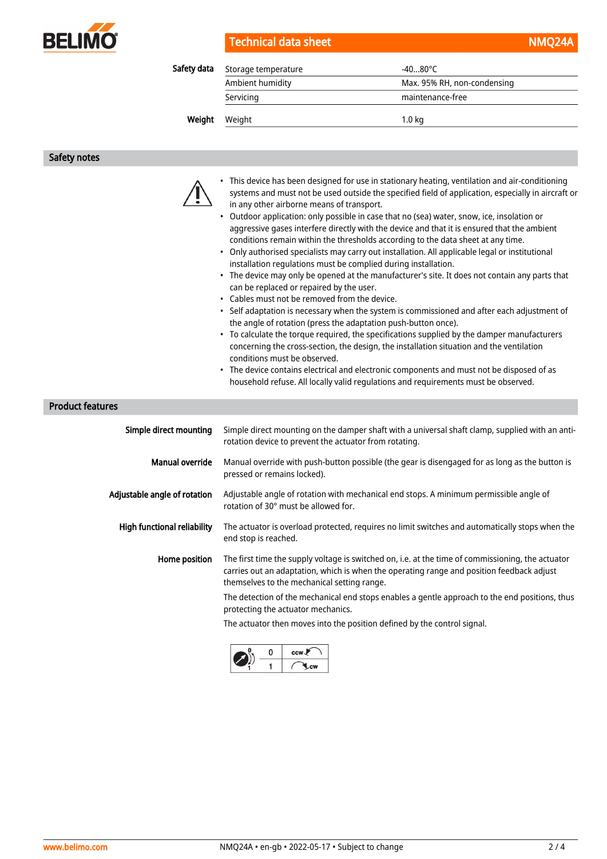

| Technical data sheet | NMQ24A |
|----------------------|--------|
|----------------------|--------|

| Safety data | Storage temperature | $-4080^{\circ}$ C           |  |
|-------------|---------------------|-----------------------------|--|
|             | Ambient humidity    | Max. 95% RH, non-condensing |  |
|             | Servicing           | maintenance-free            |  |
| Weight      | Weight              | 1.0 <sub>kq</sub>           |  |

Safety notes



- This device has been designed for use in stationary heating, ventilation and air-conditioning systems and must not be used outside the specified field of application, especially in aircraft or in any other airborne means of transport.
- Outdoor application: only possible in case that no (sea) water, snow, ice, insolation or aggressive gases interfere directly with the device and that it is ensured that the ambient conditions remain within the thresholds according to the data sheet at any time.
- Only authorised specialists may carry out installation. All applicable legal or institutional installation regulations must be complied during installation.
- The device may only be opened at the manufacturer's site. It does not contain any parts that can be replaced or repaired by the user.
- Cables must not be removed from the device.
- Self adaptation is necessary when the system is commissioned and after each adjustment of the angle of rotation (press the adaptation push-button once).
- To calculate the torque required, the specifications supplied by the damper manufacturers concerning the cross-section, the design, the installation situation and the ventilation conditions must be observed.
- The device contains electrical and electronic components and must not be disposed of as household refuse. All locally valid regulations and requirements must be observed.

Product features

| Simple direct mounting             | Simple direct mounting on the damper shaft with a universal shaft clamp, supplied with an anti-<br>rotation device to prevent the actuator from rotating.                                                                                     |
|------------------------------------|-----------------------------------------------------------------------------------------------------------------------------------------------------------------------------------------------------------------------------------------------|
| Manual override                    | Manual override with push-button possible (the gear is disengaged for as long as the button is<br>pressed or remains locked).                                                                                                                 |
| Adjustable angle of rotation       | Adjustable angle of rotation with mechanical end stops. A minimum permissible angle of<br>rotation of 30° must be allowed for.                                                                                                                |
| <b>High functional reliability</b> | The actuator is overload protected, requires no limit switches and automatically stops when the<br>end stop is reached.                                                                                                                       |
| Home position                      | The first time the supply voltage is switched on, i.e. at the time of commissioning, the actuator<br>carries out an adaptation, which is when the operating range and position feedback adjust<br>themselves to the mechanical setting range. |
|                                    | The detection of the mechanical end stops enables a gentle approach to the end positions, thus<br>protecting the actuator mechanics.                                                                                                          |
|                                    | The actuator then moves into the position defined by the control signal.                                                                                                                                                                      |

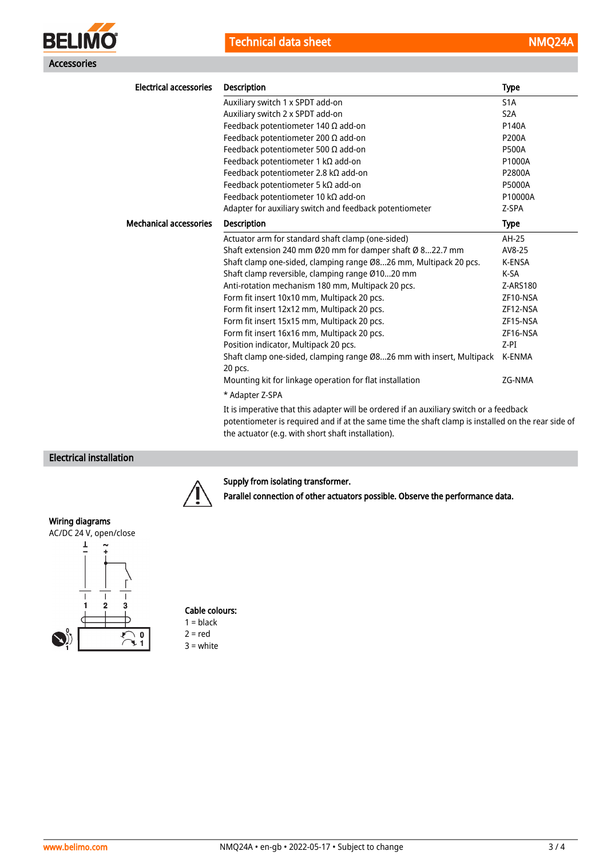



| <b>Electrical accessories</b> | <b>Description</b>                                                                      | <b>Type</b>      |
|-------------------------------|-----------------------------------------------------------------------------------------|------------------|
|                               | Auxiliary switch 1 x SPDT add-on                                                        | S <sub>1</sub> A |
|                               | Auxiliary switch 2 x SPDT add-on                                                        | S <sub>2</sub> A |
|                               | Feedback potentiometer 140 $\Omega$ add-on                                              | P140A            |
|                               | Feedback potentiometer 200 $\Omega$ add-on                                              | <b>P200A</b>     |
|                               | Feedback potentiometer 500 $\Omega$ add-on                                              | <b>P500A</b>     |
|                               | Feedback potentiometer 1 kΩ add-on                                                      | P1000A           |
|                               | Feedback potentiometer 2.8 kΩ add-on                                                    | P2800A           |
|                               | Feedback potentiometer 5 kΩ add-on                                                      | <b>P5000A</b>    |
|                               | Feedback potentiometer 10 kΩ add-on                                                     | P10000A          |
|                               | Adapter for auxiliary switch and feedback potentiometer                                 | Z-SPA            |
| <b>Mechanical accessories</b> | <b>Description</b>                                                                      | <b>Type</b>      |
|                               | Actuator arm for standard shaft clamp (one-sided)                                       | AH-25            |
|                               | Shaft extension 240 mm Ø20 mm for damper shaft Ø 822.7 mm                               | AV8-25           |
|                               | Shaft clamp one-sided, clamping range Ø826 mm, Multipack 20 pcs.                        | <b>K-ENSA</b>    |
|                               | Shaft clamp reversible, clamping range Ø1020 mm                                         | K-SA             |
|                               | Anti-rotation mechanism 180 mm, Multipack 20 pcs.                                       | Z-ARS180         |
|                               | Form fit insert 10x10 mm, Multipack 20 pcs.                                             | ZF10-NSA         |
|                               | Form fit insert 12x12 mm, Multipack 20 pcs.                                             | ZF12-NSA         |
|                               | Form fit insert 15x15 mm, Multipack 20 pcs.                                             | ZF15-NSA         |
|                               | Form fit insert 16x16 mm, Multipack 20 pcs.                                             | ZF16-NSA         |
|                               | Position indicator, Multipack 20 pcs.                                                   | $Z-PI$           |
|                               | Shaft clamp one-sided, clamping range Ø826 mm with insert, Multipack<br>20 pcs.         | K-ENMA           |
|                               | Mounting kit for linkage operation for flat installation                                | ZG-NMA           |
|                               | * Adapter Z-SPA                                                                         |                  |
|                               | It is imperative that this adapter will be ordered if an auxiliary switch or a feedback |                  |

potentiometer is required and if at the same time the shaft clamp is installed on the rear side of the actuator (e.g. with short shaft installation).

## Electrical installation



### Supply from isolating transformer.

Parallel connection of other actuators possible. Observe the performance data.

### Wiring diagrams





# Cable colours:  $1 = **black**$  $2 = red$

3 = white